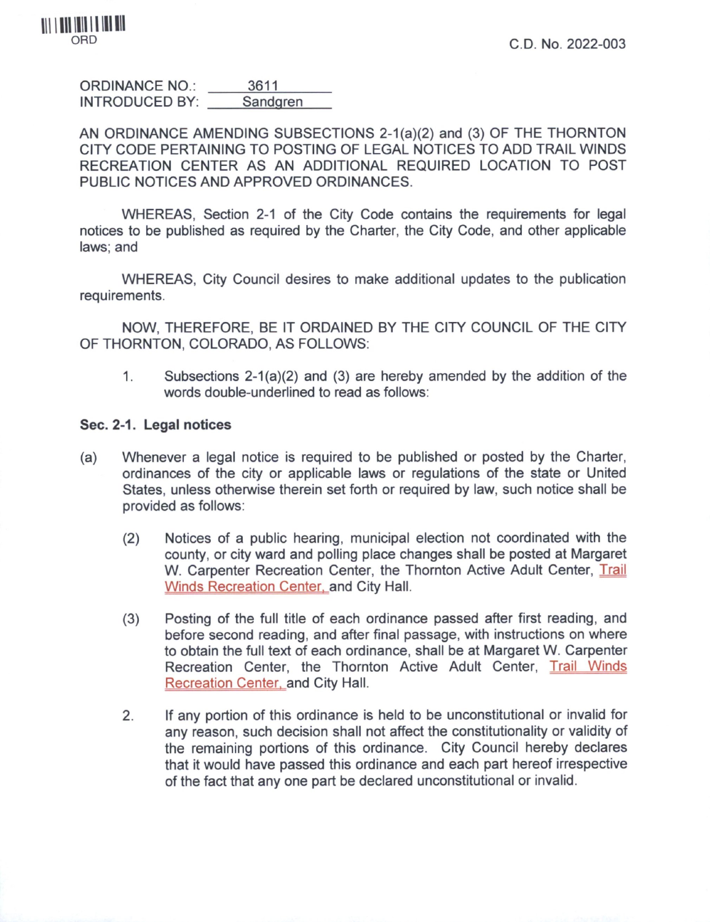ORDINANCE NO.: INTRODUCED BY: 3611 **Sandgren** 

AN ORDINANCE AMENDING SUBSECTIONS 2-1(a)(2) and (3) OF THE THORNTON CITY CODE PERTAINING TO POSTING OF LEGAL NOTICES TO ADD TRAIL WINDS RECREATION CENTER AS AN ADDITIONAL REQUIRED LOCATION TO POST PUBLIC NOTICES AND APPROVED ORDINANCES.

WHEREAS, Section 2-1 of the City Code contains the requirements for legal notices to be published as required by the Charter, the City Code, and other applicable laws; and

WHEREAS, City Council desires to make additional updates to the publication requirements.

NOW, THEREFORE, BE IT ORDAINED BY THE CITY COUNCIL OF THE CITY OF THORNTON, COLORADO, AS FOLLOWS:

1. Subsections  $2-1(a)(2)$  and (3) are hereby amended by the addition of the words double-underlined to read as follows:

## **Sec. 2-1. Legal notices**

- (a) Whenever a legal notice is required to be published or posted by the Charter, ordinances of the city or applicable laws or regulations of the state or United States, unless otherwise therein set forth or required by law, such notice shall be provided as follows:
	- (2) Notices of a public hearing, municipal election not coordinated with the county, or city ward and polling place changes shall be posted at Margaret W. Carpenter Recreation Center, the Thornton Active Adult Center, Trail Winds Recreation Center, and City Hall.
	- (3) Posting of the full title of each ordinance passed after first reading, and before second reading, and after final passage, with instructions on where to obtain the full text of each ordinance, shall be at Margaret W. Carpenter Recreation Center, the Thornton Active Adult Center, Trail Winds Recreation Center, and City Hall.
	- 2. If any portion of this ordinance is held to be unconstitutional or invalid for any reason, such decision shall not affect the constitutionality or validity of the remaining portions of this ordinance. City Council hereby declares that it would have passed this ordinance and each part hereof irrespective of the fact that any one part be declared unconstitutional or invalid.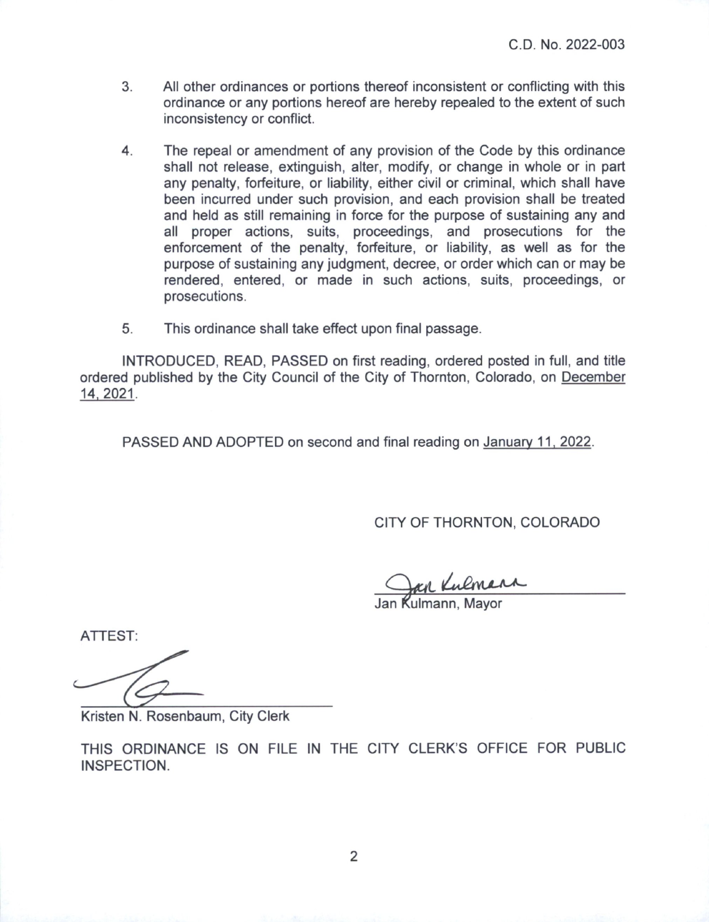- 3. All other ordinances or portions thereof inconsistent or conflicting with this ordinance or any portions hereof are hereby repealed to the extent of such inconsistency or conflict.
- 4. The repeal or amendment of any provision of the Code by this ordinance shall not release, extinguish, alter, modify, or change in whole or in part any penalty, forfeiture, or liability, either civil or criminal, which shall have been incurred under such provision, and each provision shall be treated and held as still remaining in force for the purpose of sustaining any and all proper actions, suits, proceedings, and prosecutions for the enforcement of the penalty, forfeiture, or liability, as well as for the purpose of sustaining any judgment, decree, or order which can or may be rendered, entered, or made in such actions, suits, proceedings, or prosecutions.
- 5. This ordinance shall take effect upon final passage.

INTRODUCED, READ, PASSED on first reading, ordered posted in full, and title ordered published by the City Council of the City of Thornton, Colorado, on December 14. 2021.

PASSED AND ADOPTED on second and final reading on January 11. 2022.

CITY OF THORNTON, COLORADO

an^*JCtL*

Jan Kulmann, Mayor

ATTEST:

Kristen N. Rosenbaum, City Clerk

THIS ORDINANCE IS ON FILE IN THE CITY CLERK'S OFFICE FOR PUBLIC INSPECTION.